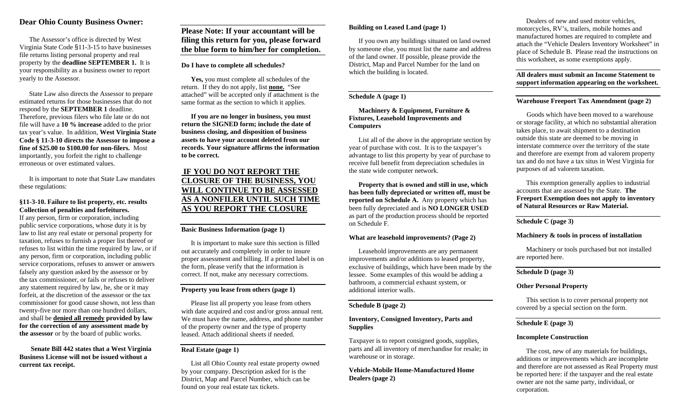## **Dear Ohio County Business Owner:**

The Assessor's office is directed by West Virginia State Code §11-3-15 to have businesses file returns listing personal property and real property by the **deadline SEPTEMBER 1.** It is your responsibility as a business owner to report yearly to the Assessor.

State Law also directs the Assessor to prepare estimated returns for those businesses that do not respond by the **SEPTEMBER 1** deadline. Therefore, previous filers who file late or do not file will have a **10 % increase** added to the prior tax year's value. In addition, **West Virginia State Code § 11-3-10 directs the Assessor to impose a fine of \$25.00 to \$100.00 for non-filers.** Most importantly, you forfeit the right to challenge erroneous or over estimated values.

It is important to note that State Law mandates these regulations:

#### **§11-3-10. Failure to list property, etc. results Collection of penalties and forfeitures.**

If any person, firm or corporation, including public service corporations, whose duty it is by law to list any real estate or personal property for taxation, refuses to furnish a proper list thereof or refuses to list within the time required by law, or if any person, firm or corporation, including public service corporations, refuses to answer or answers falsely any question asked by the assessor or by the tax commissioner, or fails or refuses to deliver any statement required by law, he, she or it may forfeit, at the discretion of the assessor or the tax commissioner for good cause shown, not less than twenty-five nor more than one hundred dollars, and shall be **denied all remedy provided by law for the correction of any assessment made by the assessor** or by the board of public works.

**Senate Bill 442 states that a West Virginia Business License will not be issued without a current tax receipt.**

**Please Note: If your accountant will be filing this return for you, please forward the blue form to him/her for completion.**

#### **Do I have to complete all schedules?**

**Yes,** you must complete all schedules of the return. If they do not apply, list **none.** "See attached" will be accepted only if attachment is the same format as the section to which it applies.

**If you are no longer in business, you must return the SIGNED form; include the date of business closing, and disposition of business assets to have your account deleted from our records. Your signature affirms the information to be correct.**

# **IF YOU DO NOT REPORT THE CLOSURE OF THE BUSINESS, YOU WILL CONTINUE TO BE ASSESSED AS A NONFILER UNTIL SUCH TIME AS YOU REPORT THE CLOSURE**

## **Basic Business Information (page 1)**

It is important to make sure this section is filled out accurately and completely in order to insure proper assessment and billing. If a printed label is on the form, please verify that the information is correct. If not, make any necessary corrections.

# **Property you lease from others (page 1)**

Please list all property you lease from others with date acquired and cost and/or gross annual rent. We must have the name, address, and phone number of the property owner and the type of property leased. Attach additional sheets if needed.

## **Real Estate (page 1)**

List all Ohio County real estate property owned by your company. Description asked for is the District, Map and Parcel Number, which can be found on your real estate tax tickets.

#### **Building on Leased Land (page 1)**

If you own any buildings situated on land owned by someone else, you must list the name and address of the land owner. If possible, please provide the District, Map and Parcel Number for the land on which the building is located.

## **Schedule A (page 1)**

**Machinery & Equipment, Furniture & Fixtures, Leasehold Improvements and Computers**

List all of the above in the appropriate section by year of purchase with cost. It is to the taxpayer's advantage to list this property by year of purchase to receive full benefit from depreciation schedules in the state wide computer network.

**Property that is owned and still in use, which has been fully depreciated or written off, must be reported on Schedule A.** Any property which has been fully depreciated and is **NO LONGER USED** as part of the production process should be reported on Schedule F.

#### **What are leasehold improvements? (Page 2)**

Leasehold improvements are any permanent improvements and/or additions to leased property, exclusive of buildings, which have been made by the lessee. Some examples of this would be adding a bathroom, a commercial exhaust system, or additional interior walls.

## **Schedule B (page 2)**

## **Inventory, Consigned Inventory, Parts and Supplies**

Taxpayer is to report consigned goods, supplies, parts and all inventory of merchandise for resale; in warehouse or in storage.

**Vehicle-Mobile Home-Manufactured Home Dealers (page 2)**

Dealers of new and used motor vehicles, motorcycles, RV's, trailers, mobile homes and manufactured homes are required to complete and attach the "Vehicle Dealers Inventory Worksheet" in place of Schedule B. Please read the instructions on this worksheet, as some exemptions apply.

## **All dealers must submit an Income Statement to support information appearing on the worksheet.**

## **Warehouse Freeport Tax Amendment (page 2)**

 Goods which have been moved to a warehouse or storage facility, at which no substantial alteration takes place, to await shipment to a destination outside this state are deemed to be moving in interstate commerce over the territory of the state and therefore are exempt from ad valorem property tax and do not have a tax situs in West Virginia for purposes of ad valorem taxation.

This exemption generally applies to industrial accounts that are assessed by the State. **The Freeport Exemption does not apply to inventory of Natural Resources or Raw Material.**

## **Schedule C (page 3)**

#### **Machinery & tools in process of installation**

Machinery or tools purchased but not installed are reported here.

## **Schedule D (page 3)**

#### **Other Personal Property**

This section is to cover personal property not covered by a special section on the form.

#### **Schedule E (page 3)**

#### **Incomplete Construction**

The cost, new of any materials for buildings, additions or improvements which are incomplete and therefore are not assessed as Real Property must be reported here: if the taxpayer and the real estate owner are not the same party, individual, or corporation.